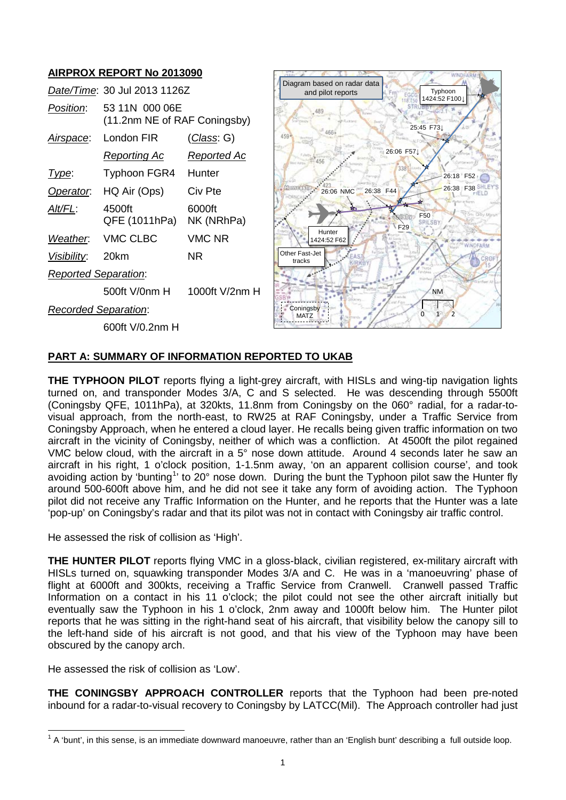# **AIRPROX REPORT No 2013090**

|                             | Date/Time: 30 Jul 2013 1126Z                   |                      |
|-----------------------------|------------------------------------------------|----------------------|
| Position:                   | 53 11N 000 06E<br>(11.2nm NE of RAF Coningsby) |                      |
| <u>Airspace:</u>            | London FIR                                     | <u>(Class</u> : G)   |
|                             | <u>Reporting Ac</u>                            | Reported Ac          |
| l ype:                      | Typhoon FGR4 Hunter                            |                      |
| Operator.                   | HQ Air (Ops)                                   | Civ Pte              |
| Alt/FL:                     | 4500ft<br>QFE (1011hPa)                        | 6000ft<br>NK (NRhPa) |
|                             | Weather. VMC CLBC                              | <b>VMC NR</b>        |
| <u>Visibility:</u>          | 20km                                           | ΝR                   |
| <b>Reported Separation:</b> |                                                |                      |
|                             | 500ft V/0nm H                                  | 1000ft V/2nm H       |
| Recorded Separation:        |                                                |                      |
|                             | 600ft V/0.2nm H                                |                      |



### **PART A: SUMMARY OF INFORMATION REPORTED TO UKAB**

**THE TYPHOON PILOT** reports flying a light-grey aircraft, with HISLs and wing-tip navigation lights turned on, and transponder Modes 3/A, C and S selected. He was descending through 5500ft (Coningsby QFE, 1011hPa), at 320kts, 11.8nm from Coningsby on the 060° radial, for a radar-tovisual approach, from the north-east, to RW25 at RAF Coningsby, under a Traffic Service from Coningsby Approach, when he entered a cloud layer. He recalls being given traffic information on two aircraft in the vicinity of Coningsby, neither of which was a confliction. At 4500ft the pilot regained VMC below cloud, with the aircraft in a 5° nose down attitude. Around 4 seconds later he saw an aircraft in his right, 1 o'clock position, 1-1.5nm away, 'on an apparent collision course', and took avoiding action by 'bunting<sup>[1](#page-0-0)</sup>' to 20° nose down. During the bunt the Typhoon pilot saw the Hunter fly around 500-600ft above him, and he did not see it take any form of avoiding action. The Typhoon pilot did not receive any Traffic Information on the Hunter, and he reports that the Hunter was a late 'pop-up' on Coningsby's radar and that its pilot was not in contact with Coningsby air traffic control.

He assessed the risk of collision as 'High'.

**THE HUNTER PILOT** reports flying VMC in a gloss-black, civilian registered, ex-military aircraft with HISLs turned on, squawking transponder Modes 3/A and C. He was in a 'manoeuvring' phase of flight at 6000ft and 300kts, receiving a Traffic Service from Cranwell. Cranwell passed Traffic Information on a contact in his 11 o'clock; the pilot could not see the other aircraft initially but eventually saw the Typhoon in his 1 o'clock, 2nm away and 1000ft below him. The Hunter pilot reports that he was sitting in the right-hand seat of his aircraft, that visibility below the canopy sill to the left-hand side of his aircraft is not good, and that his view of the Typhoon may have been obscured by the canopy arch.

He assessed the risk of collision as 'Low'.

**THE CONINGSBY APPROACH CONTROLLER** reports that the Typhoon had been pre-noted inbound for a radar-to-visual recovery to Coningsby by LATCC(Mil). The Approach controller had just

<span id="page-0-0"></span> $1$  A 'bunt', in this sense, is an immediate downward manoeuvre, rather than an 'English bunt' describing a full outside loop.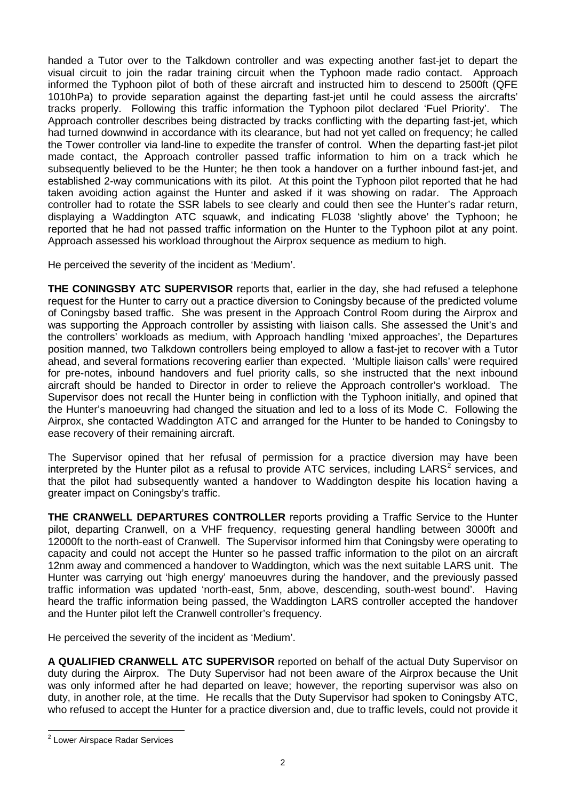handed a Tutor over to the Talkdown controller and was expecting another fast-jet to depart the visual circuit to join the radar training circuit when the Typhoon made radio contact. Approach informed the Typhoon pilot of both of these aircraft and instructed him to descend to 2500ft (QFE 1010hPa) to provide separation against the departing fast-jet until he could assess the aircrafts' tracks properly. Following this traffic information the Typhoon pilot declared 'Fuel Priority'. The Approach controller describes being distracted by tracks conflicting with the departing fast-jet, which had turned downwind in accordance with its clearance, but had not yet called on frequency; he called the Tower controller via land-line to expedite the transfer of control. When the departing fast-jet pilot made contact, the Approach controller passed traffic information to him on a track which he subsequently believed to be the Hunter; he then took a handover on a further inbound fast-jet, and established 2-way communications with its pilot. At this point the Typhoon pilot reported that he had taken avoiding action against the Hunter and asked if it was showing on radar. The Approach controller had to rotate the SSR labels to see clearly and could then see the Hunter's radar return, displaying a Waddington ATC squawk, and indicating FL038 'slightly above' the Typhoon; he reported that he had not passed traffic information on the Hunter to the Typhoon pilot at any point. Approach assessed his workload throughout the Airprox sequence as medium to high.

He perceived the severity of the incident as 'Medium'.

**THE CONINGSBY ATC SUPERVISOR** reports that, earlier in the day, she had refused a telephone request for the Hunter to carry out a practice diversion to Coningsby because of the predicted volume of Coningsby based traffic. She was present in the Approach Control Room during the Airprox and was supporting the Approach controller by assisting with liaison calls. She assessed the Unit's and the controllers' workloads as medium, with Approach handling 'mixed approaches', the Departures position manned, two Talkdown controllers being employed to allow a fast-jet to recover with a Tutor ahead, and several formations recovering earlier than expected. 'Multiple liaison calls' were required for pre-notes, inbound handovers and fuel priority calls, so she instructed that the next inbound aircraft should be handed to Director in order to relieve the Approach controller's workload. The Supervisor does not recall the Hunter being in confliction with the Typhoon initially, and opined that the Hunter's manoeuvring had changed the situation and led to a loss of its Mode C. Following the Airprox, she contacted Waddington ATC and arranged for the Hunter to be handed to Coningsby to ease recovery of their remaining aircraft.

The Supervisor opined that her refusal of permission for a practice diversion may have been interpreted by the Hunter pilot as a refusal to provide ATC services, including  $LARS^2$  $LARS^2$  services, and that the pilot had subsequently wanted a handover to Waddington despite his location having a greater impact on Coningsby's traffic.

**THE CRANWELL DEPARTURES CONTROLLER** reports providing a Traffic Service to the Hunter pilot, departing Cranwell, on a VHF frequency, requesting general handling between 3000ft and 12000ft to the north-east of Cranwell. The Supervisor informed him that Coningsby were operating to capacity and could not accept the Hunter so he passed traffic information to the pilot on an aircraft 12nm away and commenced a handover to Waddington, which was the next suitable LARS unit. The Hunter was carrying out 'high energy' manoeuvres during the handover, and the previously passed traffic information was updated 'north-east, 5nm, above, descending, south-west bound'. Having heard the traffic information being passed, the Waddington LARS controller accepted the handover and the Hunter pilot left the Cranwell controller's frequency.

He perceived the severity of the incident as 'Medium'.

**A QUALIFIED CRANWELL ATC SUPERVISOR** reported on behalf of the actual Duty Supervisor on duty during the Airprox. The Duty Supervisor had not been aware of the Airprox because the Unit was only informed after he had departed on leave; however, the reporting supervisor was also on duty, in another role, at the time. He recalls that the Duty Supervisor had spoken to Coningsby ATC, who refused to accept the Hunter for a practice diversion and, due to traffic levels, could not provide it

<span id="page-1-0"></span><sup>2</sup> Lower Airspace Radar Services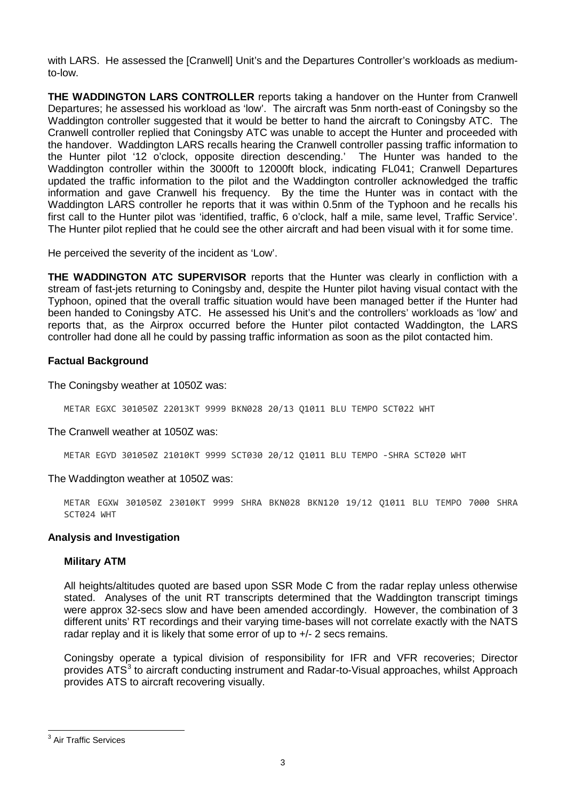with LARS. He assessed the [Cranwell] Unit's and the Departures Controller's workloads as mediumto-low.

**THE WADDINGTON LARS CONTROLLER** reports taking a handover on the Hunter from Cranwell Departures; he assessed his workload as 'low'. The aircraft was 5nm north-east of Coningsby so the Waddington controller suggested that it would be better to hand the aircraft to Coningsby ATC. The Cranwell controller replied that Coningsby ATC was unable to accept the Hunter and proceeded with the handover. Waddington LARS recalls hearing the Cranwell controller passing traffic information to the Hunter pilot '12 o'clock, opposite direction descending.' The Hunter was handed to the Waddington controller within the 3000ft to 12000ft block, indicating FL041; Cranwell Departures updated the traffic information to the pilot and the Waddington controller acknowledged the traffic information and gave Cranwell his frequency. By the time the Hunter was in contact with the Waddington LARS controller he reports that it was within 0.5nm of the Typhoon and he recalls his first call to the Hunter pilot was 'identified, traffic, 6 o'clock, half a mile, same level, Traffic Service'. The Hunter pilot replied that he could see the other aircraft and had been visual with it for some time.

He perceived the severity of the incident as 'Low'.

**THE WADDINGTON ATC SUPERVISOR** reports that the Hunter was clearly in confliction with a stream of fast-jets returning to Coningsby and, despite the Hunter pilot having visual contact with the Typhoon, opined that the overall traffic situation would have been managed better if the Hunter had been handed to Coningsby ATC. He assessed his Unit's and the controllers' workloads as 'low' and reports that, as the Airprox occurred before the Hunter pilot contacted Waddington, the LARS controller had done all he could by passing traffic information as soon as the pilot contacted him.

### **Factual Background**

The Coningsby weather at 1050Z was:

METAR EGXC 301050Z 22013KT 9999 BKN028 20/13 Q1011 BLU TEMPO SCT022 WHT

The Cranwell weather at 1050Z was:

METAR EGYD 301050Z 21010KT 9999 SCT030 20/12 Q1011 BLU TEMPO -SHRA SCT020 WHT

The Waddington weather at 1050Z was:

METAR EGXW 301050Z 23010KT 9999 SHRA BKN028 BKN120 19/12 Q1011 BLU TEMPO 7000 SHRA SCT024 WHT

#### **Analysis and Investigation**

#### **Military ATM**

All heights/altitudes quoted are based upon SSR Mode C from the radar replay unless otherwise stated. Analyses of the unit RT transcripts determined that the Waddington transcript timings were approx 32-secs slow and have been amended accordingly. However, the combination of 3 different units' RT recordings and their varying time-bases will not correlate exactly with the NATS radar replay and it is likely that some error of up to +/- 2 secs remains.

Coningsby operate a typical division of responsibility for IFR and VFR recoveries; Director provides ATS<sup>[3](#page-2-0)</sup> to aircraft conducting instrument and Radar-to-Visual approaches, whilst Approach provides ATS to aircraft recovering visually.

<span id="page-2-0"></span><sup>&</sup>lt;sup>3</sup> Air Traffic Services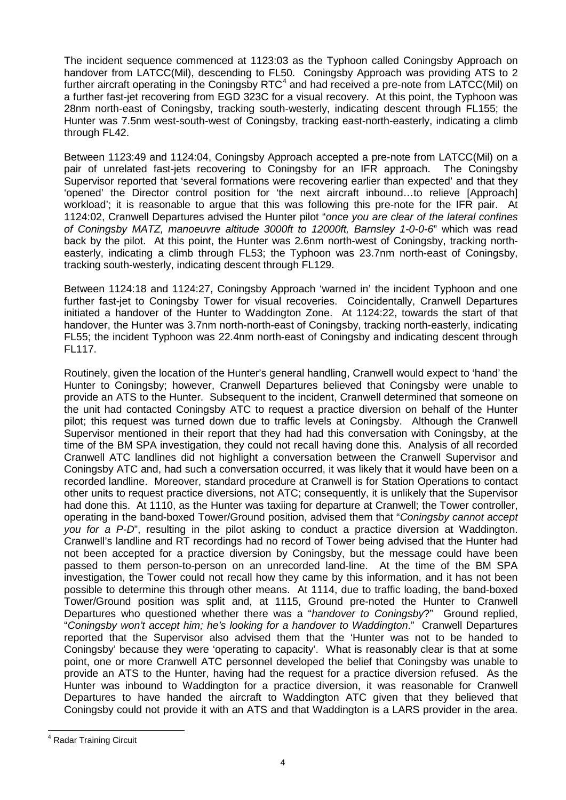The incident sequence commenced at 1123:03 as the Typhoon called Coningsby Approach on handover from LATCC(Mil), descending to FL50. Coningsby Approach was providing ATS to 2 further aircraft operating in the Coningsby RTC $4$  and had received a pre-note from LATCC(Mil) on a further fast-jet recovering from EGD 323C for a visual recovery. At this point, the Typhoon was 28nm north-east of Coningsby, tracking south-westerly, indicating descent through FL155; the Hunter was 7.5nm west-south-west of Coningsby, tracking east-north-easterly, indicating a climb through FL42.

Between 1123:49 and 1124:04, Coningsby Approach accepted a pre-note from LATCC(Mil) on a pair of unrelated fast-jets recovering to Coningsby for an IFR approach. The Coningsby Supervisor reported that 'several formations were recovering earlier than expected' and that they 'opened' the Director control position for 'the next aircraft inbound…to relieve [Approach] workload'; it is reasonable to argue that this was following this pre-note for the IFR pair. At 1124:02, Cranwell Departures advised the Hunter pilot "*once you are clear of the lateral confines of Coningsby MATZ, manoeuvre altitude 3000ft to 12000ft, Barnsley 1-0-0-6*" which was read back by the pilot. At this point, the Hunter was 2.6nm north-west of Coningsby, tracking northeasterly, indicating a climb through FL53; the Typhoon was 23.7nm north-east of Coningsby, tracking south-westerly, indicating descent through FL129.

Between 1124:18 and 1124:27, Coningsby Approach 'warned in' the incident Typhoon and one further fast-jet to Coningsby Tower for visual recoveries. Coincidentally, Cranwell Departures initiated a handover of the Hunter to Waddington Zone. At 1124:22, towards the start of that handover, the Hunter was 3.7nm north-north-east of Coningsby, tracking north-easterly, indicating FL55; the incident Typhoon was 22.4nm north-east of Coningsby and indicating descent through FL117.

Routinely, given the location of the Hunter's general handling, Cranwell would expect to 'hand' the Hunter to Coningsby; however, Cranwell Departures believed that Coningsby were unable to provide an ATS to the Hunter. Subsequent to the incident, Cranwell determined that someone on the unit had contacted Coningsby ATC to request a practice diversion on behalf of the Hunter pilot; this request was turned down due to traffic levels at Coningsby. Although the Cranwell Supervisor mentioned in their report that they had had this conversation with Coningsby, at the time of the BM SPA investigation, they could not recall having done this. Analysis of all recorded Cranwell ATC landlines did not highlight a conversation between the Cranwell Supervisor and Coningsby ATC and, had such a conversation occurred, it was likely that it would have been on a recorded landline. Moreover, standard procedure at Cranwell is for Station Operations to contact other units to request practice diversions, not ATC; consequently, it is unlikely that the Supervisor had done this. At 1110, as the Hunter was taxiing for departure at Cranwell; the Tower controller, operating in the band-boxed Tower/Ground position, advised them that "*Coningsby cannot accept you for a P-D*", resulting in the pilot asking to conduct a practice diversion at Waddington. Cranwell's landline and RT recordings had no record of Tower being advised that the Hunter had not been accepted for a practice diversion by Coningsby, but the message could have been passed to them person-to-person on an unrecorded land-line. At the time of the BM SPA investigation, the Tower could not recall how they came by this information, and it has not been possible to determine this through other means. At 1114, due to traffic loading, the band-boxed Tower/Ground position was split and, at 1115, Ground pre-noted the Hunter to Cranwell Departures who questioned whether there was a "*handover to Coningsby*?" Ground replied, "*Coningsby won't accept him; he's looking for a handover to Waddington*." Cranwell Departures reported that the Supervisor also advised them that the 'Hunter was not to be handed to Coningsby' because they were 'operating to capacity'. What is reasonably clear is that at some point, one or more Cranwell ATC personnel developed the belief that Coningsby was unable to provide an ATS to the Hunter, having had the request for a practice diversion refused. As the Hunter was inbound to Waddington for a practice diversion, it was reasonable for Cranwell Departures to have handed the aircraft to Waddington ATC given that they believed that Coningsby could not provide it with an ATS and that Waddington is a LARS provider in the area.

<span id="page-3-0"></span><sup>4</sup> Radar Training Circuit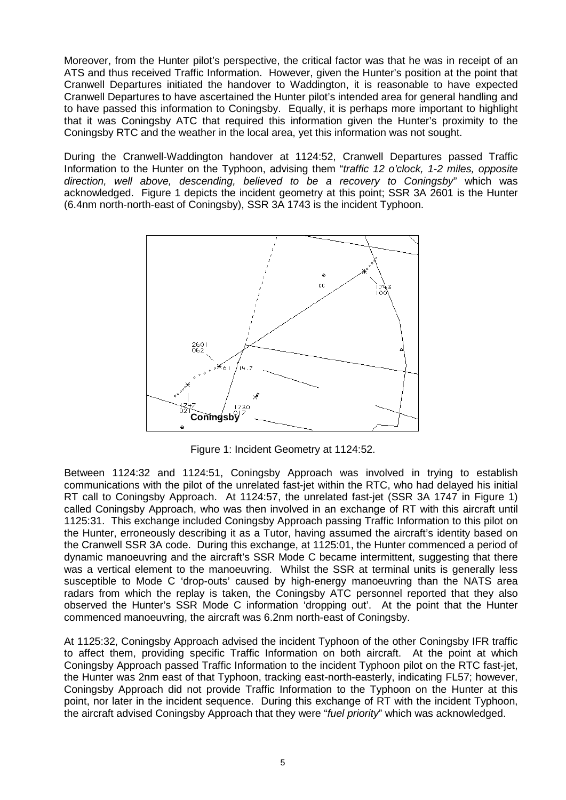Moreover, from the Hunter pilot's perspective, the critical factor was that he was in receipt of an ATS and thus received Traffic Information. However, given the Hunter's position at the point that Cranwell Departures initiated the handover to Waddington, it is reasonable to have expected Cranwell Departures to have ascertained the Hunter pilot's intended area for general handling and to have passed this information to Coningsby. Equally, it is perhaps more important to highlight that it was Coningsby ATC that required this information given the Hunter's proximity to the Coningsby RTC and the weather in the local area, yet this information was not sought.

During the Cranwell-Waddington handover at 1124:52, Cranwell Departures passed Traffic Information to the Hunter on the Typhoon, advising them "*traffic 12 o'clock, 1-2 miles, opposite direction, well above, descending, believed to be a recovery to Coningsby*" which was acknowledged. Figure 1 depicts the incident geometry at this point; SSR 3A 2601 is the Hunter (6.4nm north-north-east of Coningsby), SSR 3A 1743 is the incident Typhoon.



Figure 1: Incident Geometry at 1124:52.

Between 1124:32 and 1124:51, Coningsby Approach was involved in trying to establish communications with the pilot of the unrelated fast-jet within the RTC, who had delayed his initial RT call to Coningsby Approach. At 1124:57, the unrelated fast-jet (SSR 3A 1747 in Figure 1) called Coningsby Approach, who was then involved in an exchange of RT with this aircraft until 1125:31. This exchange included Coningsby Approach passing Traffic Information to this pilot on the Hunter, erroneously describing it as a Tutor, having assumed the aircraft's identity based on the Cranwell SSR 3A code. During this exchange, at 1125:01, the Hunter commenced a period of dynamic manoeuvring and the aircraft's SSR Mode C became intermittent, suggesting that there was a vertical element to the manoeuvring. Whilst the SSR at terminal units is generally less susceptible to Mode C 'drop-outs' caused by high-energy manoeuvring than the NATS area radars from which the replay is taken, the Coningsby ATC personnel reported that they also observed the Hunter's SSR Mode C information 'dropping out'. At the point that the Hunter commenced manoeuvring, the aircraft was 6.2nm north-east of Coningsby.

At 1125:32, Coningsby Approach advised the incident Typhoon of the other Coningsby IFR traffic to affect them, providing specific Traffic Information on both aircraft. At the point at which Coningsby Approach passed Traffic Information to the incident Typhoon pilot on the RTC fast-jet, the Hunter was 2nm east of that Typhoon, tracking east-north-easterly, indicating FL57; however, Coningsby Approach did not provide Traffic Information to the Typhoon on the Hunter at this point, nor later in the incident sequence. During this exchange of RT with the incident Typhoon, the aircraft advised Coningsby Approach that they were "*fuel priority*" which was acknowledged.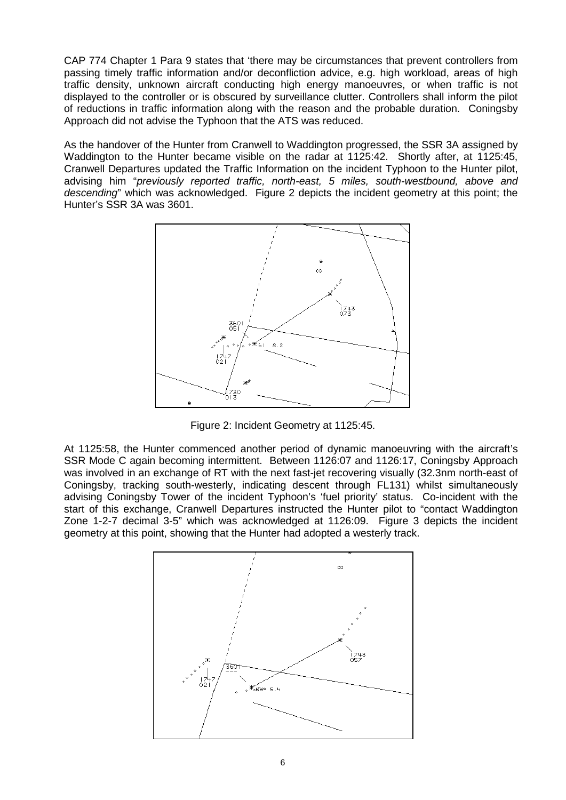CAP 774 Chapter 1 Para 9 states that 'there may be circumstances that prevent controllers from passing timely traffic information and/or deconfliction advice, e.g. high workload, areas of high traffic density, unknown aircraft conducting high energy manoeuvres, or when traffic is not displayed to the controller or is obscured by surveillance clutter. Controllers shall inform the pilot of reductions in traffic information along with the reason and the probable duration. Coningsby Approach did not advise the Typhoon that the ATS was reduced.

As the handover of the Hunter from Cranwell to Waddington progressed, the SSR 3A assigned by Waddington to the Hunter became visible on the radar at 1125:42. Shortly after, at 1125:45, Cranwell Departures updated the Traffic Information on the incident Typhoon to the Hunter pilot, advising him "*previously reported traffic, north-east, 5 miles, south-westbound, above and descending*" which was acknowledged. Figure 2 depicts the incident geometry at this point; the Hunter's SSR 3A was 3601.



Figure 2: Incident Geometry at 1125:45.

At 1125:58, the Hunter commenced another period of dynamic manoeuvring with the aircraft's SSR Mode C again becoming intermittent. Between 1126:07 and 1126:17, Coningsby Approach was involved in an exchange of RT with the next fast-jet recovering visually (32.3nm north-east of Coningsby, tracking south-westerly, indicating descent through FL131) whilst simultaneously advising Coningsby Tower of the incident Typhoon's 'fuel priority' status. Co-incident with the start of this exchange, Cranwell Departures instructed the Hunter pilot to "contact Waddington Zone 1-2-7 decimal 3-5" which was acknowledged at 1126:09. Figure 3 depicts the incident geometry at this point, showing that the Hunter had adopted a westerly track.

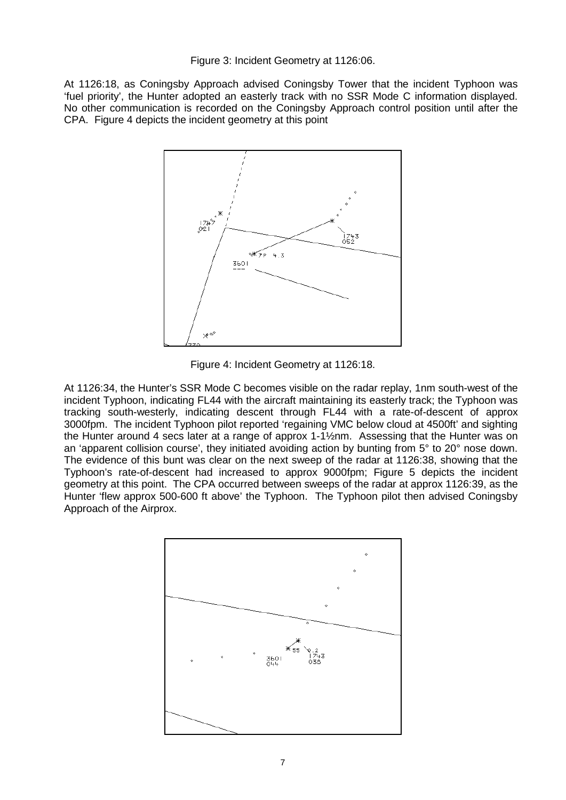### Figure 3: Incident Geometry at 1126:06.

At 1126:18, as Coningsby Approach advised Coningsby Tower that the incident Typhoon was 'fuel priority', the Hunter adopted an easterly track with no SSR Mode C information displayed. No other communication is recorded on the Coningsby Approach control position until after the CPA. Figure 4 depicts the incident geometry at this point



Figure 4: Incident Geometry at 1126:18.

At 1126:34, the Hunter's SSR Mode C becomes visible on the radar replay, 1nm south-west of the incident Typhoon, indicating FL44 with the aircraft maintaining its easterly track; the Typhoon was tracking south-westerly, indicating descent through FL44 with a rate-of-descent of approx 3000fpm. The incident Typhoon pilot reported 'regaining VMC below cloud at 4500ft' and sighting the Hunter around 4 secs later at a range of approx 1-1½nm. Assessing that the Hunter was on an 'apparent collision course', they initiated avoiding action by bunting from 5° to 20° nose down. The evidence of this bunt was clear on the next sweep of the radar at 1126:38, showing that the Typhoon's rate-of-descent had increased to approx 9000fpm; Figure 5 depicts the incident geometry at this point. The CPA occurred between sweeps of the radar at approx 1126:39, as the Hunter 'flew approx 500-600 ft above' the Typhoon. The Typhoon pilot then advised Coningsby Approach of the Airprox.

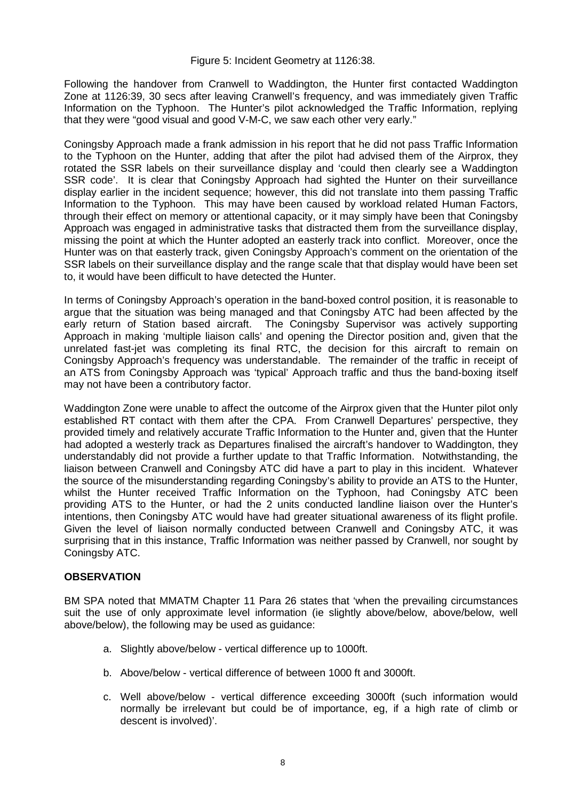### Figure 5: Incident Geometry at 1126:38.

Following the handover from Cranwell to Waddington, the Hunter first contacted Waddington Zone at 1126:39, 30 secs after leaving Cranwell's frequency, and was immediately given Traffic Information on the Typhoon. The Hunter's pilot acknowledged the Traffic Information, replying that they were "good visual and good V-M-C, we saw each other very early."

Coningsby Approach made a frank admission in his report that he did not pass Traffic Information to the Typhoon on the Hunter, adding that after the pilot had advised them of the Airprox, they rotated the SSR labels on their surveillance display and 'could then clearly see a Waddington SSR code'. It is clear that Coningsby Approach had sighted the Hunter on their surveillance display earlier in the incident sequence; however, this did not translate into them passing Traffic Information to the Typhoon. This may have been caused by workload related Human Factors, through their effect on memory or attentional capacity, or it may simply have been that Coningsby Approach was engaged in administrative tasks that distracted them from the surveillance display, missing the point at which the Hunter adopted an easterly track into conflict. Moreover, once the Hunter was on that easterly track, given Coningsby Approach's comment on the orientation of the SSR labels on their surveillance display and the range scale that that display would have been set to, it would have been difficult to have detected the Hunter.

In terms of Coningsby Approach's operation in the band-boxed control position, it is reasonable to argue that the situation was being managed and that Coningsby ATC had been affected by the early return of Station based aircraft. The Coningsby Supervisor was actively supporting Approach in making 'multiple liaison calls' and opening the Director position and, given that the unrelated fast-jet was completing its final RTC, the decision for this aircraft to remain on Coningsby Approach's frequency was understandable. The remainder of the traffic in receipt of an ATS from Coningsby Approach was 'typical' Approach traffic and thus the band-boxing itself may not have been a contributory factor.

Waddington Zone were unable to affect the outcome of the Airprox given that the Hunter pilot only established RT contact with them after the CPA. From Cranwell Departures' perspective, they provided timely and relatively accurate Traffic Information to the Hunter and, given that the Hunter had adopted a westerly track as Departures finalised the aircraft's handover to Waddington, they understandably did not provide a further update to that Traffic Information. Notwithstanding, the liaison between Cranwell and Coningsby ATC did have a part to play in this incident. Whatever the source of the misunderstanding regarding Coningsby's ability to provide an ATS to the Hunter, whilst the Hunter received Traffic Information on the Typhoon, had Coningsby ATC been providing ATS to the Hunter, or had the 2 units conducted landline liaison over the Hunter's intentions, then Coningsby ATC would have had greater situational awareness of its flight profile. Given the level of liaison normally conducted between Cranwell and Coningsby ATC, it was surprising that in this instance, Traffic Information was neither passed by Cranwell, nor sought by Coningsby ATC.

### **OBSERVATION**

BM SPA noted that MMATM Chapter 11 Para 26 states that 'when the prevailing circumstances suit the use of only approximate level information (ie slightly above/below, above/below, well above/below), the following may be used as guidance:

- a. Slightly above/below vertical difference up to 1000ft.
- b. Above/below vertical difference of between 1000 ft and 3000ft.
- c. Well above/below vertical difference exceeding 3000ft (such information would normally be irrelevant but could be of importance, eg, if a high rate of climb or descent is involved)'.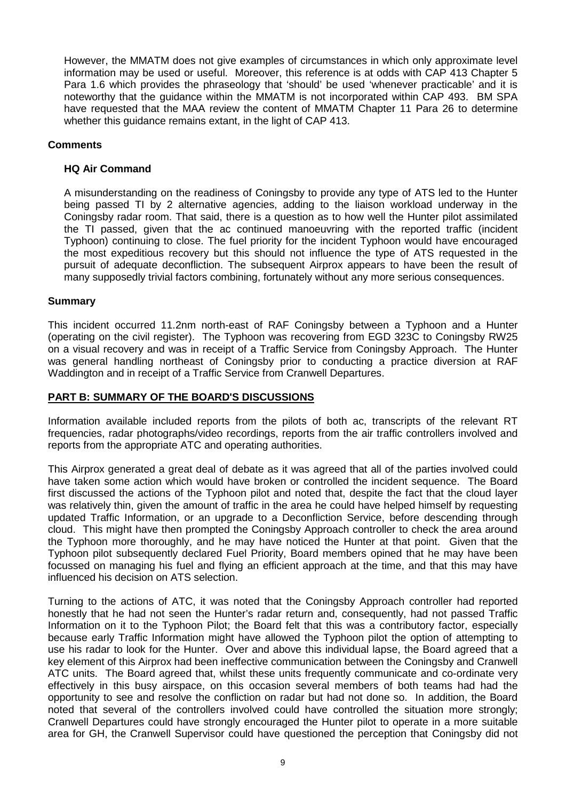However, the MMATM does not give examples of circumstances in which only approximate level information may be used or useful. Moreover, this reference is at odds with CAP 413 Chapter 5 Para 1.6 which provides the phraseology that 'should' be used 'whenever practicable' and it is noteworthy that the guidance within the MMATM is not incorporated within CAP 493. BM SPA have requested that the MAA review the content of MMATM Chapter 11 Para 26 to determine whether this guidance remains extant, in the light of CAP 413.

## **Comments**

## **HQ Air Command**

A misunderstanding on the readiness of Coningsby to provide any type of ATS led to the Hunter being passed TI by 2 alternative agencies, adding to the liaison workload underway in the Coningsby radar room. That said, there is a question as to how well the Hunter pilot assimilated the TI passed, given that the ac continued manoeuvring with the reported traffic (incident Typhoon) continuing to close. The fuel priority for the incident Typhoon would have encouraged the most expeditious recovery but this should not influence the type of ATS requested in the pursuit of adequate deconfliction. The subsequent Airprox appears to have been the result of many supposedly trivial factors combining, fortunately without any more serious consequences.

### **Summary**

This incident occurred 11.2nm north-east of RAF Coningsby between a Typhoon and a Hunter (operating on the civil register). The Typhoon was recovering from EGD 323C to Coningsby RW25 on a visual recovery and was in receipt of a Traffic Service from Coningsby Approach. The Hunter was general handling northeast of Coningsby prior to conducting a practice diversion at RAF Waddington and in receipt of a Traffic Service from Cranwell Departures.

## **PART B: SUMMARY OF THE BOARD'S DISCUSSIONS**

Information available included reports from the pilots of both ac, transcripts of the relevant RT frequencies, radar photographs/video recordings, reports from the air traffic controllers involved and reports from the appropriate ATC and operating authorities.

This Airprox generated a great deal of debate as it was agreed that all of the parties involved could have taken some action which would have broken or controlled the incident sequence. The Board first discussed the actions of the Typhoon pilot and noted that, despite the fact that the cloud layer was relatively thin, given the amount of traffic in the area he could have helped himself by requesting updated Traffic Information, or an upgrade to a Deconfliction Service, before descending through cloud. This might have then prompted the Coningsby Approach controller to check the area around the Typhoon more thoroughly, and he may have noticed the Hunter at that point. Given that the Typhoon pilot subsequently declared Fuel Priority, Board members opined that he may have been focussed on managing his fuel and flying an efficient approach at the time, and that this may have influenced his decision on ATS selection.

Turning to the actions of ATC, it was noted that the Coningsby Approach controller had reported honestly that he had not seen the Hunter's radar return and, consequently, had not passed Traffic Information on it to the Typhoon Pilot; the Board felt that this was a contributory factor, especially because early Traffic Information might have allowed the Typhoon pilot the option of attempting to use his radar to look for the Hunter. Over and above this individual lapse, the Board agreed that a key element of this Airprox had been ineffective communication between the Coningsby and Cranwell ATC units. The Board agreed that, whilst these units frequently communicate and co-ordinate very effectively in this busy airspace, on this occasion several members of both teams had had the opportunity to see and resolve the confliction on radar but had not done so. In addition, the Board noted that several of the controllers involved could have controlled the situation more strongly; Cranwell Departures could have strongly encouraged the Hunter pilot to operate in a more suitable area for GH, the Cranwell Supervisor could have questioned the perception that Coningsby did not